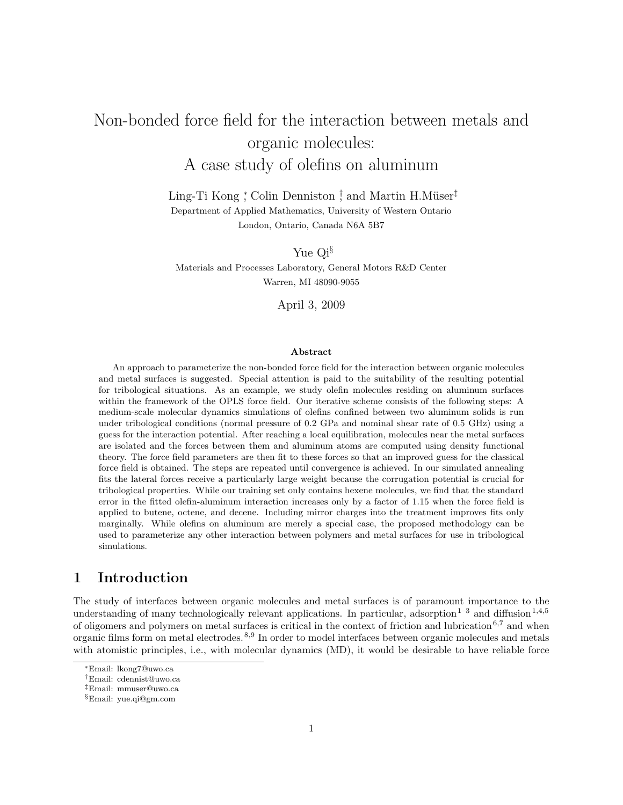# Non-bonded force field for the interaction between metals and organic molecules: A case study of olefins on aluminum

Ling-Ti Kong <sup>\*</sup>, Colin Denniston <sup>†</sup>, and Martin H.Müser<sup>‡</sup> Department of Applied Mathematics, University of Western Ontario London, Ontario, Canada N6A 5B7

Yue Qi§

Materials and Processes Laboratory, General Motors R&D Center Warren, MI 48090-9055

April 3, 2009

#### **Abstract**

An approach to parameterize the non-bonded force field for the interaction between organic molecules and metal surfaces is suggested. Special attention is paid to the suitability of the resulting potential for tribological situations. As an example, we study olefin molecules residing on aluminum surfaces within the framework of the OPLS force field. Our iterative scheme consists of the following steps: A medium-scale molecular dynamics simulations of olefins confined between two aluminum solids is run under tribological conditions (normal pressure of 0.2 GPa and nominal shear rate of 0.5 GHz) using a guess for the interaction potential. After reaching a local equilibration, molecules near the metal surfaces are isolated and the forces between them and aluminum atoms are computed using density functional theory. The force field parameters are then fit to these forces so that an improved guess for the classical force field is obtained. The steps are repeated until convergence is achieved. In our simulated annealing fits the lateral forces receive a particularly large weight because the corrugation potential is crucial for tribological properties. While our training set only contains hexene molecules, we find that the standard error in the fitted olefin-aluminum interaction increases only by a factor of 1.15 when the force field is applied to butene, octene, and decene. Including mirror charges into the treatment improves fits only marginally. While olefins on aluminum are merely a special case, the proposed methodology can be used to parameterize any other interaction between polymers and metal surfaces for use in tribological simulations.

# **1 Introduction**

The study of interfaces between organic molecules and metal surfaces is of paramount importance to the understanding of many technologically relevant applications. In particular, adsorption<sup>1-3</sup> and diffusion<sup>1,4,5</sup> of oligomers and polymers on metal surfaces is critical in the context of friction and lubrication  $6,7$  and when organic films form on metal electrodes.8,9 In order to model interfaces between organic molecules and metals with atomistic principles, i.e., with molecular dynamics (MD), it would be desirable to have reliable force

<sup>∗</sup>Email: lkong7@uwo.ca

<sup>†</sup>Email: cdennist@uwo.ca

<sup>‡</sup>Email: mmuser@uwo.ca

<sup>§</sup>Email: yue.qi@gm.com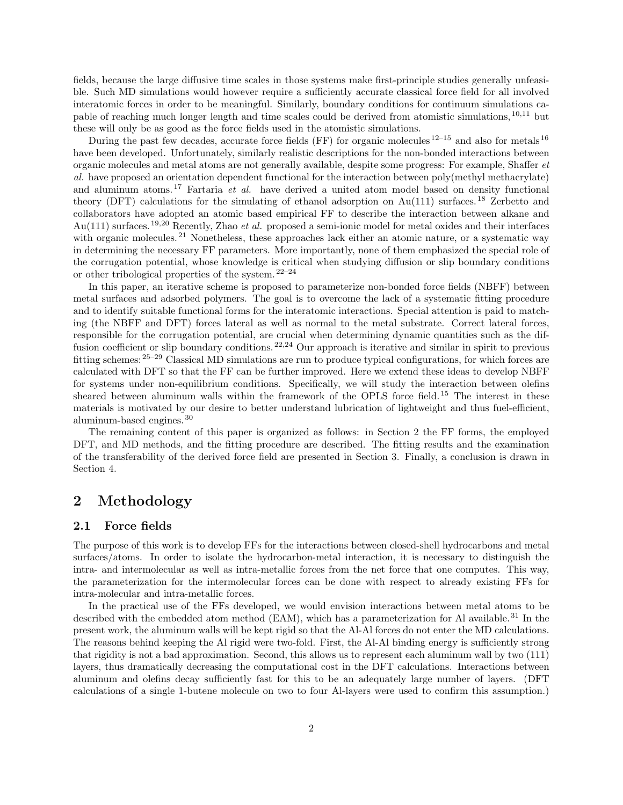fields, because the large diffusive time scales in those systems make first-principle studies generally unfeasible. Such MD simulations would however require a sufficiently accurate classical force field for all involved interatomic forces in order to be meaningful. Similarly, boundary conditions for continuum simulations capable of reaching much longer length and time scales could be derived from atomistic simulations, 10,11 but these will only be as good as the force fields used in the atomistic simulations.

During the past few decades, accurate force fields (FF) for organic molecules  $12^{-15}$  and also for metals  $16$ have been developed. Unfortunately, similarly realistic descriptions for the non-bonded interactions between organic molecules and metal atoms are not generally available, despite some progress: For example, Shaffer *et al.* have proposed an orientation dependent functional for the interaction between poly(methyl methacrylate) and aluminum atoms.<sup>17</sup> Fartaria *et al.* have derived a united atom model based on density functional theory (DFT) calculations for the simulating of ethanol adsorption on  $Au(111)$  surfaces.<sup>18</sup> Zerbetto and collaborators have adopted an atomic based empirical FF to describe the interaction between alkane and Au(111) surfaces.19,20 Recently, Zhao *et al.* proposed a semi-ionic model for metal oxides and their interfaces with organic molecules.<sup>21</sup> Nonetheless, these approaches lack either an atomic nature, or a systematic way in determining the necessary FF parameters. More importantly, none of them emphasized the special role of the corrugation potential, whose knowledge is critical when studying diffusion or slip boundary conditions or other tribological properties of the system. $22-24$ 

In this paper, an iterative scheme is proposed to parameterize non-bonded force fields (NBFF) between metal surfaces and adsorbed polymers. The goal is to overcome the lack of a systematic fitting procedure and to identify suitable functional forms for the interatomic interactions. Special attention is paid to matching (the NBFF and DFT) forces lateral as well as normal to the metal substrate. Correct lateral forces, responsible for the corrugation potential, are crucial when determining dynamic quantities such as the diffusion coefficient or slip boundary conditions.<sup>22,24</sup> Our approach is iterative and similar in spirit to previous fitting schemes: 25–29 Classical MD simulations are run to produce typical configurations, for which forces are calculated with DFT so that the FF can be further improved. Here we extend these ideas to develop NBFF for systems under non-equilibrium conditions. Specifically, we will study the interaction between olefins sheared between aluminum walls within the framework of the OPLS force field.<sup>15</sup> The interest in these materials is motivated by our desire to better understand lubrication of lightweight and thus fuel-efficient, aluminum-based engines. <sup>30</sup>

The remaining content of this paper is organized as follows: in Section 2 the FF forms, the employed DFT, and MD methods, and the fitting procedure are described. The fitting results and the examination of the transferability of the derived force field are presented in Section 3. Finally, a conclusion is drawn in Section 4.

### **2 Methodology**

#### **2.1 Force fields**

The purpose of this work is to develop FFs for the interactions between closed-shell hydrocarbons and metal surfaces/atoms. In order to isolate the hydrocarbon-metal interaction, it is necessary to distinguish the intra- and intermolecular as well as intra-metallic forces from the net force that one computes. This way, the parameterization for the intermolecular forces can be done with respect to already existing FFs for intra-molecular and intra-metallic forces.

In the practical use of the FFs developed, we would envision interactions between metal atoms to be described with the embedded atom method  $(EAM)$ , which has a parameterization for Al available.<sup>31</sup> In the present work, the aluminum walls will be kept rigid so that the Al-Al forces do not enter the MD calculations. The reasons behind keeping the Al rigid were two-fold. First, the Al-Al binding energy is sufficiently strong that rigidity is not a bad approximation. Second, this allows us to represent each aluminum wall by two (111) layers, thus dramatically decreasing the computational cost in the DFT calculations. Interactions between aluminum and olefins decay sufficiently fast for this to be an adequately large number of layers. (DFT calculations of a single 1-butene molecule on two to four Al-layers were used to confirm this assumption.)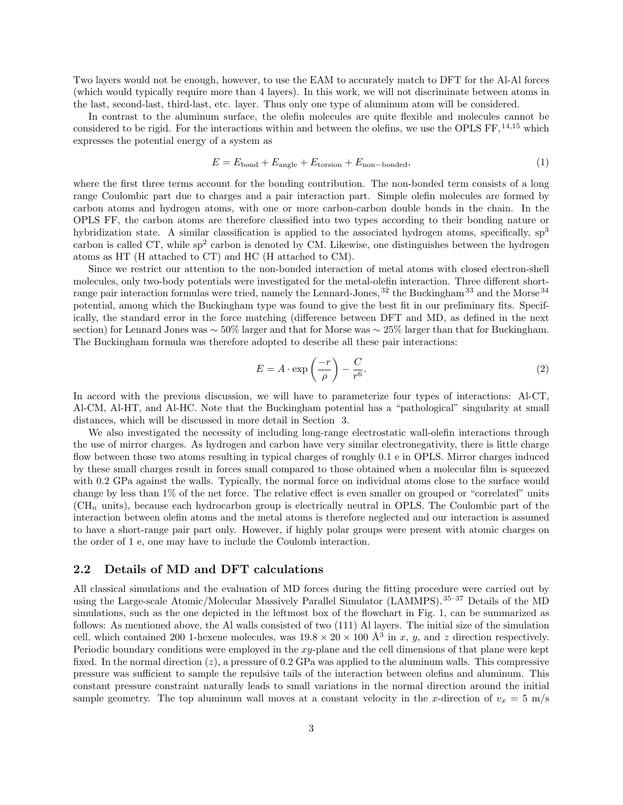Two layers would not be enough, however, to use the EAM to accurately match to DFT for the Al-Al forces (which would typically require more than 4 layers). In this work, we will not discriminate between atoms in the last, second-last, third-last, etc. layer. Thus only one type of aluminum atom will be considered.

In contrast to the aluminum surface, the olefin molecules are quite flexible and molecules cannot be considered to be rigid. For the interactions within and between the olefins, we use the OPLS FF, <sup>14,15</sup> which expresses the potential energy of a system as

$$
E = E_{\text{bond}} + E_{\text{angle}} + E_{\text{torsion}} + E_{\text{non-bonded}},\tag{1}
$$

where the first three terms account for the bonding contribution. The non-bonded term consists of a long range Coulombic part due to charges and a pair interaction part. Simple olefin molecules are formed by carbon atoms and hydrogen atoms, with one or more carbon-carbon double bonds in the chain. In the OPLS FF, the carbon atoms are therefore classified into two types according to their bonding nature or hybridization state. A similar classification is applied to the associated hydrogen atoms, specifically,  $sp<sup>3</sup>$ carbon is called CT, while  $sp<sup>2</sup>$  carbon is denoted by CM. Likewise, one distinguishes between the hydrogen atoms as HT (H attached to CT) and HC (H attached to CM).

Since we restrict our attention to the non-bonded interaction of metal atoms with closed electron-shell molecules, only two-body potentials were investigated for the metal-olefin interaction. Three different shortrange pair interaction formulas were tried, namely the Lennard-Jones,  $32$  the Buckingham  $33$  and the Morse  $34$ potential, among which the Buckingham type was found to give the best fit in our preliminary fits. Specifically, the standard error in the force matching (difference between DFT and MD, as defined in the next section) for Lennard Jones was ∼ 50% larger and that for Morse was ∼ 25% larger than that for Buckingham. The Buckingham formula was therefore adopted to describe all these pair interactions:

$$
E = A \cdot \exp\left(\frac{-r}{\rho}\right) - \frac{C}{r^6}.\tag{2}
$$

In accord with the previous discussion, we will have to parameterize four types of interactions: Al-CT, Al-CM, Al-HT, and Al-HC. Note that the Buckingham potential has a "pathological" singularity at small distances, which will be discussed in more detail in Section 3.

We also investigated the necessity of including long-range electrostatic wall-olefin interactions through the use of mirror charges. As hydrogen and carbon have very similar electronegativity, there is little charge flow between those two atoms resulting in typical charges of roughly 0.1 e in OPLS. Mirror charges induced by these small charges result in forces small compared to those obtained when a molecular film is squeezed with 0.2 GPa against the walls. Typically, the normal force on individual atoms close to the surface would change by less than 1% of the net force. The relative effect is even smaller on grouped or "correlated" units  $(CH_n$  units), because each hydrocarbon group is electrically neutral in OPLS. The Coulombic part of the interaction between olefin atoms and the metal atoms is therefore neglected and our interaction is assumed to have a short-range pair part only. However, if highly polar groups were present with atomic charges on the order of 1 e, one may have to include the Coulomb interaction.

### **2.2 Details of MD and DFT calculations**

All classical simulations and the evaluation of MD forces during the fitting procedure were carried out by using the Large-scale Atomic/Molecular Massively Parallel Simulator (LAMMPS).35–37 Details of the MD simulations, such as the one depicted in the leftmost box of the flowchart in Fig. 1, can be summarized as follows: As mentioned above, the Al walls consisted of two (111) Al layers. The initial size of the simulation cell, which contained 200 1-hexene molecules, was  $19.8 \times 20 \times 100$  Å<sup>3</sup> in x, y, and z direction respectively. Periodic boundary conditions were employed in the xy-plane and the cell dimensions of that plane were kept fixed. In the normal direction  $(z)$ , a pressure of 0.2 GPa was applied to the aluminum walls. This compressive pressure was sufficient to sample the repulsive tails of the interaction between olefins and aluminum. This constant pressure constraint naturally leads to small variations in the normal direction around the initial sample geometry. The top aluminum wall moves at a constant velocity in the x-direction of  $v_x = 5$  m/s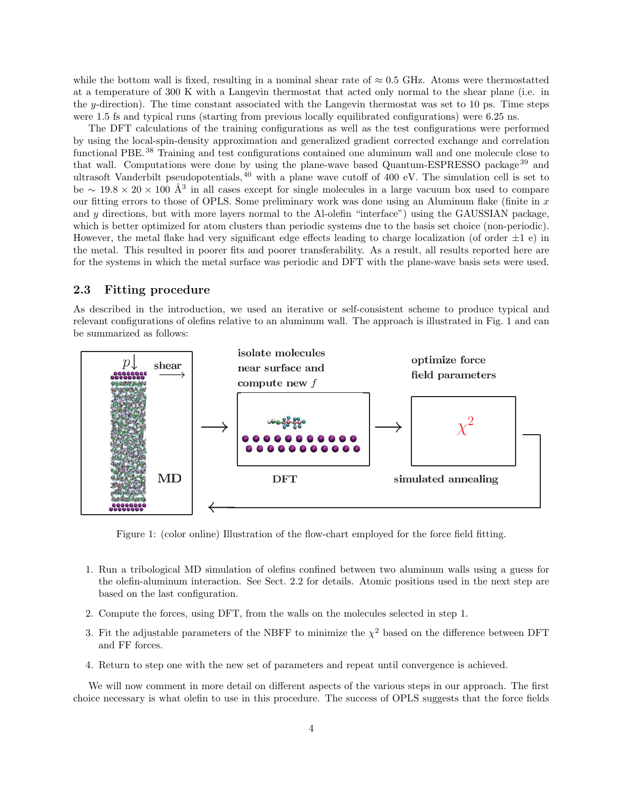while the bottom wall is fixed, resulting in a nominal shear rate of  $\approx 0.5$  GHz. Atoms were thermostatted at a temperature of 300 K with a Langevin thermostat that acted only normal to the shear plane (i.e. in the y-direction). The time constant associated with the Langevin thermostat was set to 10 ps. Time steps were 1.5 fs and typical runs (starting from previous locally equilibrated configurations) were 6.25 ns.

The DFT calculations of the training configurations as well as the test configurations were performed by using the local-spin-density approximation and generalized gradient corrected exchange and correlation functional PBE.<sup>38</sup> Training and test configurations contained one aluminum wall and one molecule close to that wall. Computations were done by using the plane-wave based Quantum-ESPRESSO package<sup>39</sup> and ultrasoft Vanderbilt pseudopotentials,  $40$  with a plane wave cutoff of 400 eV. The simulation cell is set to be ∼ 19.8 × 20 × 100 Å<sup>3</sup> in all cases except for single molecules in a large vacuum box used to compare our fitting errors to those of OPLS. Some preliminary work was done using an Aluminum flake (finite in  $x$ ) and y directions, but with more layers normal to the Al-olefin "interface") using the GAUSSIAN package, which is better optimized for atom clusters than periodic systems due to the basis set choice (non-periodic). However, the metal flake had very significant edge effects leading to charge localization (of order  $\pm 1$  e) in the metal. This resulted in poorer fits and poorer transferability. As a result, all results reported here are for the systems in which the metal surface was periodic and DFT with the plane-wave basis sets were used.

#### **2.3 Fitting procedure**

As described in the introduction, we used an iterative or self-consistent scheme to produce typical and relevant configurations of olefins relative to an aluminum wall. The approach is illustrated in Fig. 1 and can be summarized as follows:



Figure 1: (color online) Illustration of the flow-chart employed for the force field fitting.

- 1. Run a tribological MD simulation of olefins confined between two aluminum walls using a guess for the olefin-aluminum interaction. See Sect. 2.2 for details. Atomic positions used in the next step are based on the last configuration.
- 2. Compute the forces, using DFT, from the walls on the molecules selected in step 1.
- 3. Fit the adjustable parameters of the NBFF to minimize the  $\chi^2$  based on the difference between DFT and FF forces.
- 4. Return to step one with the new set of parameters and repeat until convergence is achieved.

We will now comment in more detail on different aspects of the various steps in our approach. The first choice necessary is what olefin to use in this procedure. The success of OPLS suggests that the force fields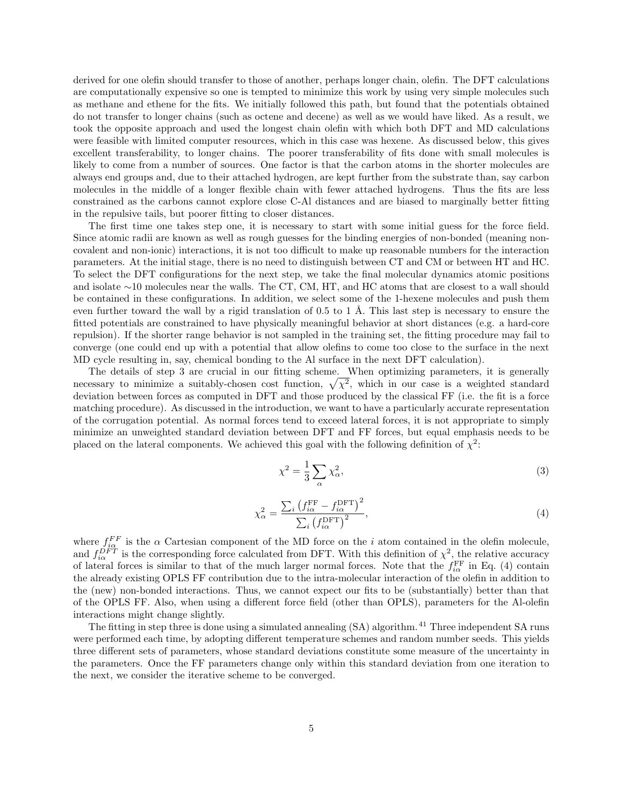derived for one olefin should transfer to those of another, perhaps longer chain, olefin. The DFT calculations are computationally expensive so one is tempted to minimize this work by using very simple molecules such as methane and ethene for the fits. We initially followed this path, but found that the potentials obtained do not transfer to longer chains (such as octene and decene) as well as we would have liked. As a result, we took the opposite approach and used the longest chain olefin with which both DFT and MD calculations were feasible with limited computer resources, which in this case was hexene. As discussed below, this gives excellent transferability, to longer chains. The poorer transferability of fits done with small molecules is likely to come from a number of sources. One factor is that the carbon atoms in the shorter molecules are always end groups and, due to their attached hydrogen, are kept further from the substrate than, say carbon molecules in the middle of a longer flexible chain with fewer attached hydrogens. Thus the fits are less constrained as the carbons cannot explore close C-Al distances and are biased to marginally better fitting in the repulsive tails, but poorer fitting to closer distances.

The first time one takes step one, it is necessary to start with some initial guess for the force field. Since atomic radii are known as well as rough guesses for the binding energies of non-bonded (meaning noncovalent and non-ionic) interactions, it is not too difficult to make up reasonable numbers for the interaction parameters. At the initial stage, there is no need to distinguish between CT and CM or between HT and HC. To select the DFT configurations for the next step, we take the final molecular dynamics atomic positions and isolate ∼10 molecules near the walls. The CT, CM, HT, and HC atoms that are closest to a wall should be contained in these configurations. In addition, we select some of the 1-hexene molecules and push them even further toward the wall by a rigid translation of  $0.5$  to 1 Å. This last step is necessary to ensure the fitted potentials are constrained to have physically meaningful behavior at short distances (e.g. a hard-core repulsion). If the shorter range behavior is not sampled in the training set, the fitting procedure may fail to converge (one could end up with a potential that allow olefins to come too close to the surface in the next MD cycle resulting in, say, chemical bonding to the Al surface in the next DFT calculation).

The details of step 3 are crucial in our fitting scheme. When optimizing parameters, it is generally necessary to minimize a suitably-chosen cost function,  $\sqrt{\chi^2}$ , which in our case is a weighted standard deviation between forces as computed in DFT and those produced by the classical FF (i.e. the fit is a force matching procedure). As discussed in the introduction, we want to have a particularly accurate representation of the corrugation potential. As normal forces tend to exceed lateral forces, it is not appropriate to simply minimize an unweighted standard deviation between DFT and FF forces, but equal emphasis needs to be placed on the lateral components. We achieved this goal with the following definition of  $\chi^2$ :

$$
\chi^2 = \frac{1}{3} \sum_{\alpha} \chi^2_{\alpha},\tag{3}
$$

$$
\chi_{\alpha}^{2} = \frac{\sum_{i} \left( f_{i\alpha}^{\text{FF}} - f_{i\alpha}^{\text{DFT}} \right)^{2}}{\sum_{i} \left( f_{i\alpha}^{\text{DFT}} \right)^{2}},\tag{4}
$$

where  $f_{i\alpha}^{FF}$  is the  $\alpha$  Cartesian component of the MD force on the i atom contained in the olefin molecule, and  $f_{i\alpha}^{DFT}$  is the corresponding force calculated from DFT. With this definition of  $\chi^2$ , the relative accuracy of lateral forces is similar to that of the much larger normal forces. Note that the  $f_{i\alpha}^{\rm FF}$  in Eq. (4) contain the already existing OPLS FF contribution due to the intra-molecular interaction of the olefin in addition to the (new) non-bonded interactions. Thus, we cannot expect our fits to be (substantially) better than that of the OPLS FF. Also, when using a different force field (other than OPLS), parameters for the Al-olefin interactions might change slightly.

The fitting in step three is done using a simulated annealing (SA) algorithm.<sup>41</sup> Three independent SA runs were performed each time, by adopting different temperature schemes and random number seeds. This yields three different sets of parameters, whose standard deviations constitute some measure of the uncertainty in the parameters. Once the FF parameters change only within this standard deviation from one iteration to the next, we consider the iterative scheme to be converged.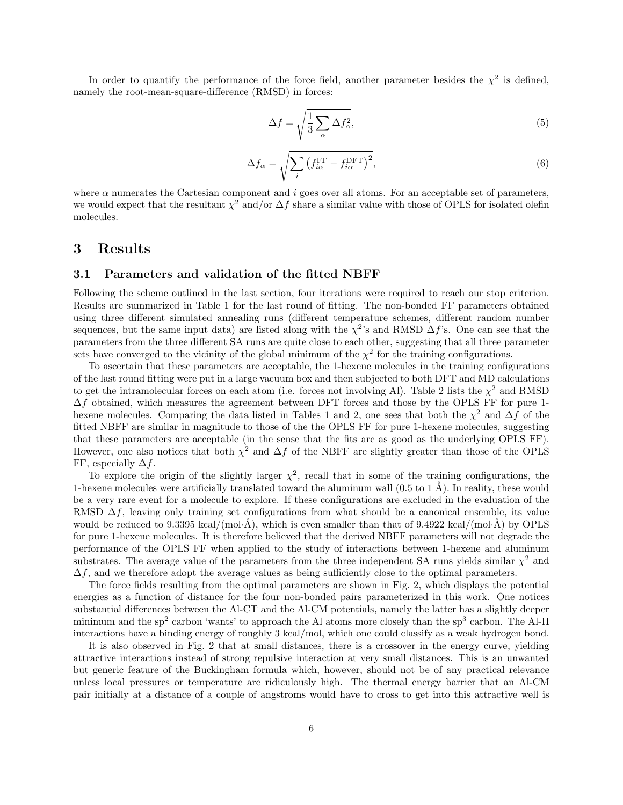In order to quantify the performance of the force field, another parameter besides the  $\chi^2$  is defined, namely the root-mean-square-difference (RMSD) in forces:

$$
\Delta f = \sqrt{\frac{1}{3} \sum_{\alpha} \Delta f_{\alpha}^2},\tag{5}
$$

$$
\Delta f_{\alpha} = \sqrt{\sum_{i} \left( f_{i\alpha}^{\rm FF} - f_{i\alpha}^{\rm DFT} \right)^2},\tag{6}
$$

where  $\alpha$  numerates the Cartesian component and i goes over all atoms. For an acceptable set of parameters, we would expect that the resultant  $\chi^2$  and/or  $\Delta f$  share a similar value with those of OPLS for isolated olefin molecules.

## **3 Results**

#### **3.1 Parameters and validation of the fitted NBFF**

Following the scheme outlined in the last section, four iterations were required to reach our stop criterion. Results are summarized in Table 1 for the last round of fitting. The non-bonded FF parameters obtained using three different simulated annealing runs (different temperature schemes, different random number sequences, but the same input data) are listed along with the  $\chi^2$ 's and RMSD  $\Delta f$ 's. One can see that the parameters from the three different SA runs are quite close to each other, suggesting that all three parameter sets have converged to the vicinity of the global minimum of the  $\chi^2$  for the training configurations.

To ascertain that these parameters are acceptable, the 1-hexene molecules in the training configurations of the last round fitting were put in a large vacuum box and then subjected to both DFT and MD calculations to get the intramolecular forces on each atom (i.e. forces not involving Al). Table 2 lists the  $\chi^2$  and RMSD  $\Delta f$  obtained, which measures the agreement between DFT forces and those by the OPLS FF for pure 1hexene molecules. Comparing the data listed in Tables 1 and 2, one sees that both the  $\chi^2$  and  $\Delta f$  of the fitted NBFF are similar in magnitude to those of the the OPLS FF for pure 1-hexene molecules, suggesting that these parameters are acceptable (in the sense that the fits are as good as the underlying OPLS FF). However, one also notices that both  $\chi^2$  and  $\Delta f$  of the NBFF are slightly greater than those of the OPLS FF, especially  $\Delta f$ .

To explore the origin of the slightly larger  $\chi^2$ , recall that in some of the training configurations, the 1-hexene molecules were artificially translated toward the aluminum wall  $(0.5 \text{ to } 1 \text{ Å})$ . In reality, these would be a very rare event for a molecule to explore. If these configurations are excluded in the evaluation of the RMSD  $\Delta f$ , leaving only training set configurations from what should be a canonical ensemble, its value would be reduced to 9.3395 kcal/(mol·Å), which is even smaller than that of 9.4922 kcal/(mol·Å) by OPLS for pure 1-hexene molecules. It is therefore believed that the derived NBFF parameters will not degrade the performance of the OPLS FF when applied to the study of interactions between 1-hexene and aluminum substrates. The average value of the parameters from the three independent SA runs yields similar  $\chi^2$  and  $\Delta f$ , and we therefore adopt the average values as being sufficiently close to the optimal parameters.

The force fields resulting from the optimal parameters are shown in Fig. 2, which displays the potential energies as a function of distance for the four non-bonded pairs parameterized in this work. One notices substantial differences between the Al-CT and the Al-CM potentials, namely the latter has a slightly deeper minimum and the sp<sup>2</sup> carbon 'wants' to approach the Al atoms more closely than the sp<sup>3</sup> carbon. The Al-H interactions have a binding energy of roughly 3 kcal/mol, which one could classify as a weak hydrogen bond.

It is also observed in Fig. 2 that at small distances, there is a crossover in the energy curve, yielding attractive interactions instead of strong repulsive interaction at very small distances. This is an unwanted but generic feature of the Buckingham formula which, however, should not be of any practical relevance unless local pressures or temperature are ridiculously high. The thermal energy barrier that an Al-CM pair initially at a distance of a couple of angstroms would have to cross to get into this attractive well is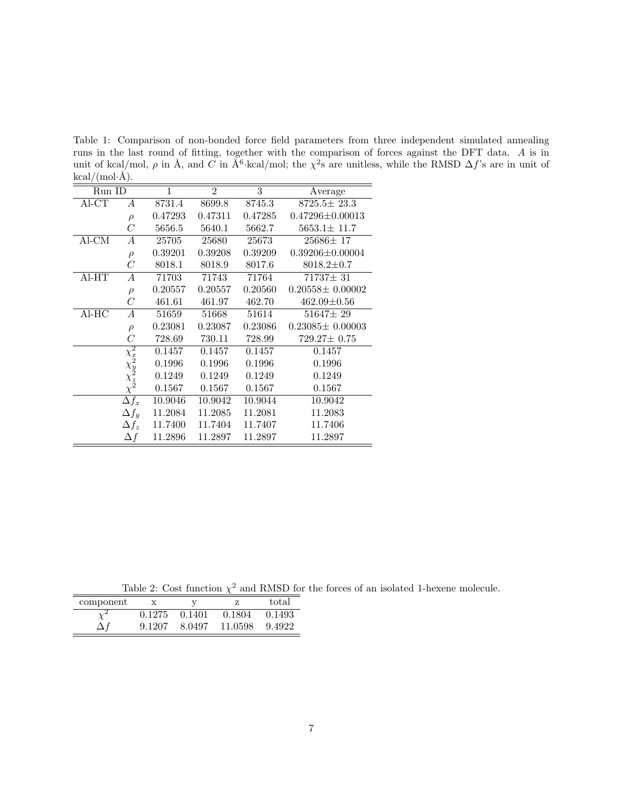Table 1: Comparison of non-bonded force field parameters from three independent simulated annealing runs in the last round of fitting, together with the comparison of forces against the DFT data. A is in unit of kcal/mol,  $\rho$  in Å, and C in Å<sup>6</sup>·kcal/mol; the  $\chi^2$ s are unitless, while the RMSD  $\Delta f$ 's are in unit of  $kcal/(mol·Å).$ 

| Run ID  |                                                                          | 1       | $\overline{2}$ | 3       | Average               |
|---------|--------------------------------------------------------------------------|---------|----------------|---------|-----------------------|
| Al-CT   | А                                                                        | 8731.4  | 8699.8         | 8745.3  | $8725.5 \pm 23.3$     |
|         | $\rho$                                                                   | 0.47293 | 0.47311        | 0.47285 | $0.47296 \pm 0.00013$ |
|         | С                                                                        | 5656.5  | 5640.1         | 5662.7  | $5653.1 \pm 11.7$     |
| $AI-CM$ | А                                                                        | 25705   | 25680          | 25673   | $25686 \pm 17$        |
|         | $\rho$                                                                   | 0.39201 | 0.39208        | 0.39209 | $0.39206 \pm 0.00004$ |
|         | C                                                                        | 8018.1  | 8018.9         | 8017.6  | $8018.2 \pm 0.7$      |
| $AI-HT$ | А                                                                        | 71703   | 71743          | 71764   | $71737 \pm 31$        |
|         | $\rho$                                                                   | 0.20557 | 0.20557        | 0.20560 | $0.20558 \pm 0.00002$ |
|         | C                                                                        | 461.61  | 461.97         | 462.70  | $462.09 \pm 0.56$     |
| Al-HC   | $\overline{A}$                                                           | 51659   | 51668          | 51614   | $51647 \pm 29$        |
|         | $\rho$                                                                   | 0.23081 | 0.23087        | 0.23086 | $0.23085\pm 0.00003$  |
|         | $\, C \,$                                                                | 728.69  | 730.11         | 728.99  | $729.27 \pm 0.75$     |
|         |                                                                          | 0.1457  | 0.1457         | 0.1457  | 0.1457                |
|         | $\begin{array}{c} \chi_x^2 \ \chi_y^2 \ \chi_z^2 \ \chi_z^2 \end{array}$ | 0.1996  | 0.1996         | 0.1996  | 0.1996                |
|         |                                                                          | 0.1249  | 0.1249         | 0.1249  | 0.1249                |
|         |                                                                          | 0.1567  | 0.1567         | 0.1567  | 0.1567                |
|         | $\Delta f_x$                                                             | 10.9046 | 10.9042        | 10.9044 | 10.9042               |
|         | $\Delta f_y$                                                             | 11.2084 | 11.2085        | 11.2081 | 11.2083               |
|         | $\Delta f_z$                                                             | 11.7400 | 11.7404        | 11.7407 | 11.7406               |
|         | $\Delta f$                                                               | 11.2896 | 11.2897        | 11.2897 | 11.2897               |

Table 2: Cost function  $\chi^2$  and RMSD for the forces of an isolated 1-hexene molecule.

| component |        |        |         | total  |
|-----------|--------|--------|---------|--------|
|           | 0.1275 | 0.1401 | 0.1804  | 0.1493 |
|           | 9.1207 | 8.0497 | 11.0598 | 9.4922 |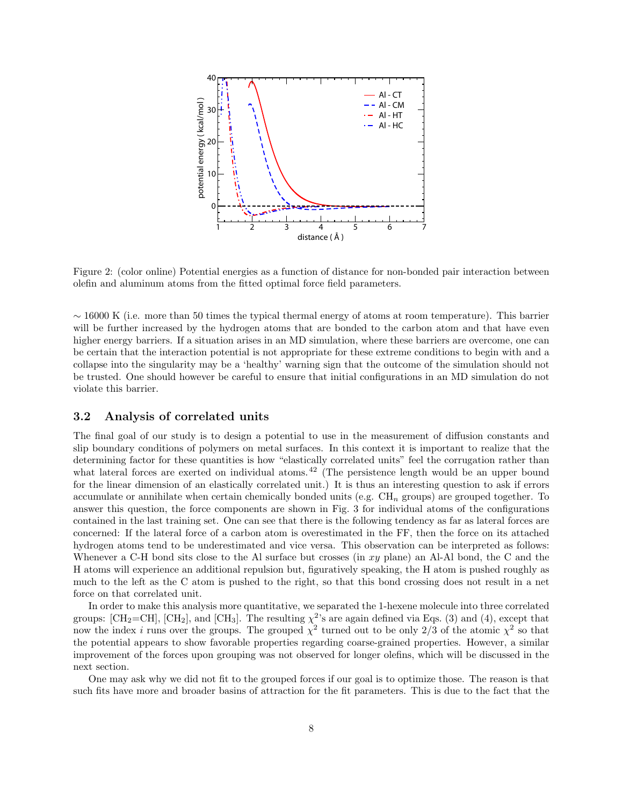

Figure 2: (color online) Potential energies as a function of distance for non-bonded pair interaction between olefin and aluminum atoms from the fitted optimal force field parameters.

 $\sim$  16000 K (i.e. more than 50 times the typical thermal energy of atoms at room temperature). This barrier will be further increased by the hydrogen atoms that are bonded to the carbon atom and that have even higher energy barriers. If a situation arises in an MD simulation, where these barriers are overcome, one can be certain that the interaction potential is not appropriate for these extreme conditions to begin with and a collapse into the singularity may be a 'healthy' warning sign that the outcome of the simulation should not be trusted. One should however be careful to ensure that initial configurations in an MD simulation do not violate this barrier.

#### **3.2 Analysis of correlated units**

The final goal of our study is to design a potential to use in the measurement of diffusion constants and slip boundary conditions of polymers on metal surfaces. In this context it is important to realize that the determining factor for these quantities is how "elastically correlated units" feel the corrugation rather than what lateral forces are exerted on individual atoms.<sup>42</sup> (The persistence length would be an upper bound for the linear dimension of an elastically correlated unit.) It is thus an interesting question to ask if errors accumulate or annihilate when certain chemically bonded units (e.g.  $CH_n$  groups) are grouped together. To answer this question, the force components are shown in Fig. 3 for individual atoms of the configurations contained in the last training set. One can see that there is the following tendency as far as lateral forces are concerned: If the lateral force of a carbon atom is overestimated in the FF, then the force on its attached hydrogen atoms tend to be underestimated and vice versa. This observation can be interpreted as follows: Whenever a C-H bond sits close to the Al surface but crosses (in  $xy$  plane) an Al-Al bond, the C and the H atoms will experience an additional repulsion but, figuratively speaking, the H atom is pushed roughly as much to the left as the C atom is pushed to the right, so that this bond crossing does not result in a net force on that correlated unit.

In order to make this analysis more quantitative, we separated the 1-hexene molecule into three correlated groups: [CH<sub>2</sub>=CH], [CH<sub>2</sub>], and [CH<sub>3</sub>]. The resulting  $\chi^{2}$ 's are again defined via Eqs. (3) and (4), except that now the index i runs over the groups. The grouped  $\chi^2$  turned out to be only 2/3 of the atomic  $\chi^2$  so that the potential appears to show favorable properties regarding coarse-grained properties. However, a similar improvement of the forces upon grouping was not observed for longer olefins, which will be discussed in the next section.

One may ask why we did not fit to the grouped forces if our goal is to optimize those. The reason is that such fits have more and broader basins of attraction for the fit parameters. This is due to the fact that the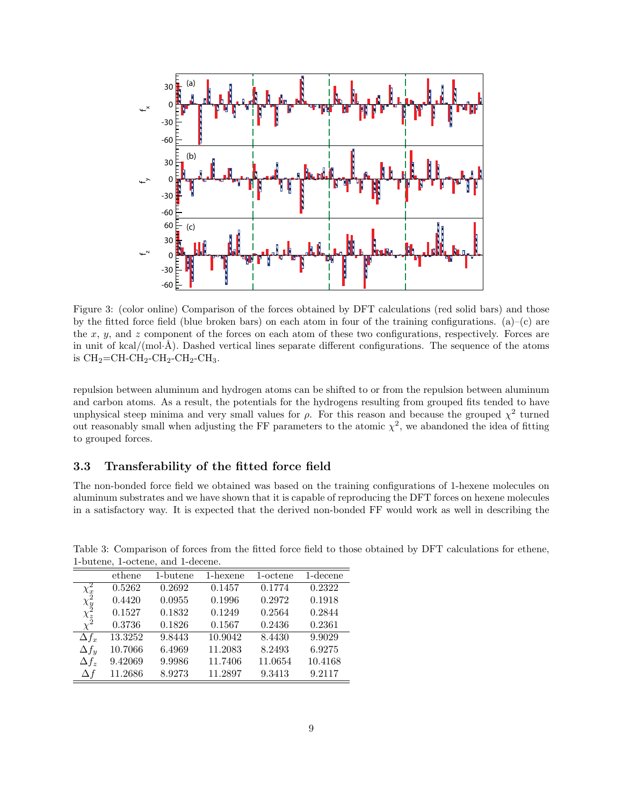

Figure 3: (color online) Comparison of the forces obtained by DFT calculations (red solid bars) and those by the fitted force field (blue broken bars) on each atom in four of the training configurations. (a)–(c) are the  $x, y$ , and  $z$  component of the forces on each atom of these two configurations, respectively. Forces are in unit of  $kcal/(mol·Å)$ . Dashed vertical lines separate different configurations. The sequence of the atoms is  $\text{CH}_2=\text{CH-CH}_2\text{-CH}_2\text{-CH}_2\text{-CH}_3.$ 

repulsion between aluminum and hydrogen atoms can be shifted to or from the repulsion between aluminum and carbon atoms. As a result, the potentials for the hydrogens resulting from grouped fits tended to have unphysical steep minima and very small values for  $\rho$ . For this reason and because the grouped  $\chi^2$  turned out reasonably small when adjusting the FF parameters to the atomic  $\chi^2$ , we abandoned the idea of fitting to grouped forces.

### **3.3 Transferability of the fitted force field**

The non-bonded force field we obtained was based on the training configurations of 1-hexene molecules on aluminum substrates and we have shown that it is capable of reproducing the DFT forces on hexene molecules in a satisfactory way. It is expected that the derived non-bonded FF would work as well in describing the

| I batche, I octone, and I accent.              |         |          |          |          |             |  |  |  |
|------------------------------------------------|---------|----------|----------|----------|-------------|--|--|--|
|                                                | ethene  | 1-butene | 1-hexene | 1-octene | $1$ -decene |  |  |  |
|                                                | 0.5262  | 0.2692   | 0.1457   | 0.1774   | 0.2322      |  |  |  |
| $\frac{\chi^2_x}{\chi^2_y}\chi^2_z}{\chi^2_z}$ | 0.4420  | 0.0955   | 0.1996   | 0.2972   | 0.1918      |  |  |  |
|                                                | 0.1527  | 0.1832   | 0.1249   | 0.2564   | 0.2844      |  |  |  |
|                                                | 0.3736  | 0.1826   | 0.1567   | 0.2436   | 0.2361      |  |  |  |
| $\Delta f_x$                                   | 13.3252 | 9.8443   | 10.9042  | 8.4430   | 9.9029      |  |  |  |
| $\Delta f_u$                                   | 10.7066 | 6.4969   | 11.2083  | 8.2493   | 6.9275      |  |  |  |
| $\Delta f_z$                                   | 9.42069 | 9.9986   | 11.7406  | 11.0654  | 10.4168     |  |  |  |
| $\Delta f$                                     | 11.2686 | 8.9273   | 11.2897  | 9.3413   | 9.2117      |  |  |  |

Table 3: Comparison of forces from the fitted force field to those obtained by DFT calculations for ethene, 1-butene, 1-octene, and 1-decene.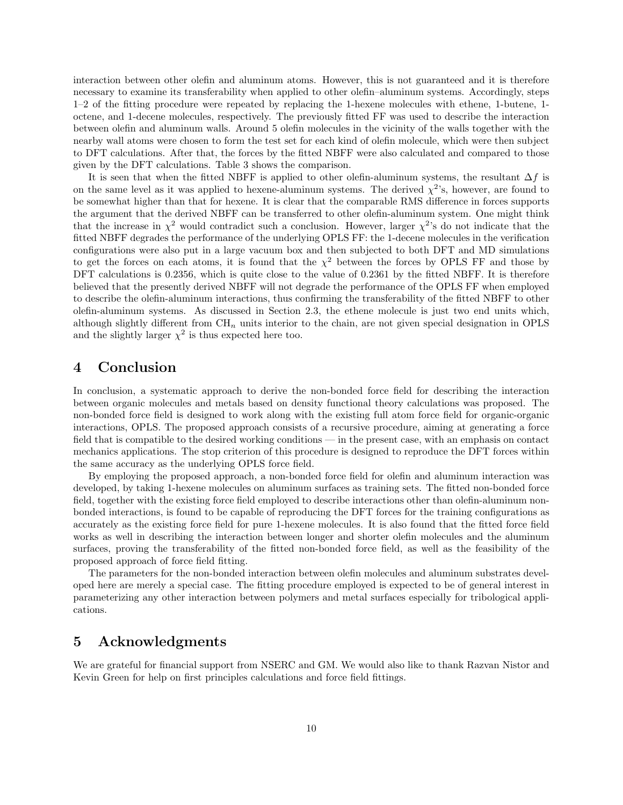interaction between other olefin and aluminum atoms. However, this is not guaranteed and it is therefore necessary to examine its transferability when applied to other olefin–aluminum systems. Accordingly, steps 1–2 of the fitting procedure were repeated by replacing the 1-hexene molecules with ethene, 1-butene, 1 octene, and 1-decene molecules, respectively. The previously fitted FF was used to describe the interaction between olefin and aluminum walls. Around 5 olefin molecules in the vicinity of the walls together with the nearby wall atoms were chosen to form the test set for each kind of olefin molecule, which were then subject to DFT calculations. After that, the forces by the fitted NBFF were also calculated and compared to those given by the DFT calculations. Table 3 shows the comparison.

It is seen that when the fitted NBFF is applied to other olefin-aluminum systems, the resultant  $\Delta f$  is on the same level as it was applied to hexene-aluminum systems. The derived  $\chi^2$ 's, however, are found to be somewhat higher than that for hexene. It is clear that the comparable RMS difference in forces supports the argument that the derived NBFF can be transferred to other olefin-aluminum system. One might think that the increase in  $\chi^2$  would contradict such a conclusion. However, larger  $\chi^2$ 's do not indicate that the fitted NBFF degrades the performance of the underlying OPLS FF: the 1-decene molecules in the verification configurations were also put in a large vacuum box and then subjected to both DFT and MD simulations to get the forces on each atoms, it is found that the  $\chi^2$  between the forces by OPLS FF and those by DFT calculations is 0.2356, which is quite close to the value of 0.2361 by the fitted NBFF. It is therefore believed that the presently derived NBFF will not degrade the performance of the OPLS FF when employed to describe the olefin-aluminum interactions, thus confirming the transferability of the fitted NBFF to other olefin-aluminum systems. As discussed in Section 2.3, the ethene molecule is just two end units which, although slightly different from  $\text{CH}_n$  units interior to the chain, are not given special designation in OPLS and the slightly larger  $\chi^2$  is thus expected here too.

### **4 Conclusion**

In conclusion, a systematic approach to derive the non-bonded force field for describing the interaction between organic molecules and metals based on density functional theory calculations was proposed. The non-bonded force field is designed to work along with the existing full atom force field for organic-organic interactions, OPLS. The proposed approach consists of a recursive procedure, aiming at generating a force field that is compatible to the desired working conditions — in the present case, with an emphasis on contact mechanics applications. The stop criterion of this procedure is designed to reproduce the DFT forces within the same accuracy as the underlying OPLS force field.

By employing the proposed approach, a non-bonded force field for olefin and aluminum interaction was developed, by taking 1-hexene molecules on aluminum surfaces as training sets. The fitted non-bonded force field, together with the existing force field employed to describe interactions other than olefin-aluminum nonbonded interactions, is found to be capable of reproducing the DFT forces for the training configurations as accurately as the existing force field for pure 1-hexene molecules. It is also found that the fitted force field works as well in describing the interaction between longer and shorter olefin molecules and the aluminum surfaces, proving the transferability of the fitted non-bonded force field, as well as the feasibility of the proposed approach of force field fitting.

The parameters for the non-bonded interaction between olefin molecules and aluminum substrates developed here are merely a special case. The fitting procedure employed is expected to be of general interest in parameterizing any other interaction between polymers and metal surfaces especially for tribological applications.

### **5 Acknowledgments**

We are grateful for financial support from NSERC and GM. We would also like to thank Razvan Nistor and Kevin Green for help on first principles calculations and force field fittings.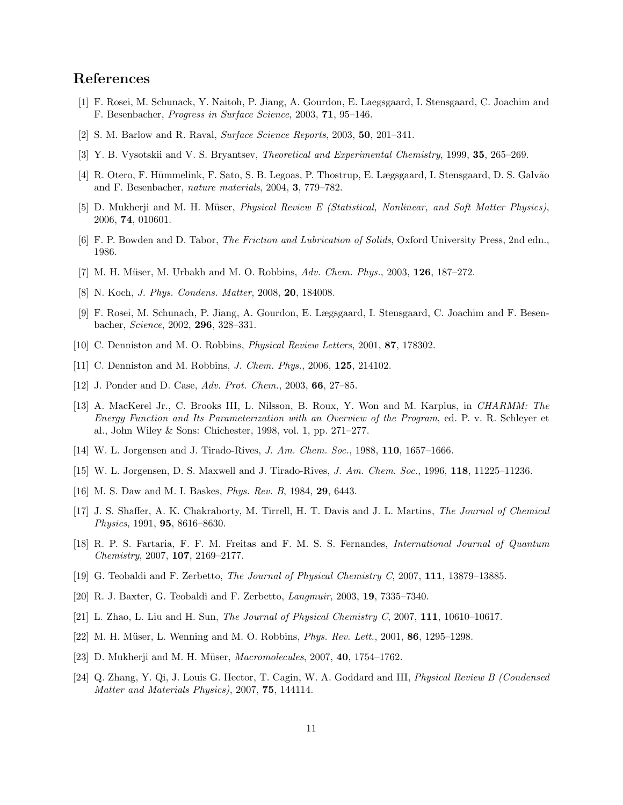# **References**

- [1] F. Rosei, M. Schunack, Y. Naitoh, P. Jiang, A. Gourdon, E. Laegsgaard, I. Stensgaard, C. Joachim and F. Besenbacher, *Progress in Surface Science*, 2003, **71**, 95–146.
- [2] S. M. Barlow and R. Raval, *Surface Science Reports*, 2003, **50**, 201–341.
- [3] Y. B. Vysotskii and V. S. Bryantsev, *Theoretical and Experimental Chemistry*, 1999, **35**, 265–269.
- [4] R. Otero, F. Hümmelink, F. Sato, S. B. Legoas, P. Thostrup, E. Lægsgaard, I. Stensgaard, D. S. Galvão and F. Besenbacher, *nature materials*, 2004, **3**, 779–782.
- [5] D. Mukherji and M. H. M¨user, *Physical Review E (Statistical, Nonlinear, and Soft Matter Physics)*, 2006, **74**, 010601.
- [6] F. P. Bowden and D. Tabor, *The Friction and Lubrication of Solids*, Oxford University Press, 2nd edn., 1986.
- [7] M. H. M¨user, M. Urbakh and M. O. Robbins, *Adv. Chem. Phys.*, 2003, **126**, 187–272.
- [8] N. Koch, *J. Phys. Condens. Matter*, 2008, **20**, 184008.
- [9] F. Rosei, M. Schunach, P. Jiang, A. Gourdon, E. Lægsgaard, I. Stensgaard, C. Joachim and F. Besenbacher, *Science*, 2002, **296**, 328–331.
- [10] C. Denniston and M. O. Robbins, *Physical Review Letters*, 2001, **87**, 178302.
- [11] C. Denniston and M. Robbins, *J. Chem. Phys.*, 2006, **125**, 214102.
- [12] J. Ponder and D. Case, *Adv. Prot. Chem.*, 2003, **66**, 27–85.
- [13] A. MacKerel Jr., C. Brooks III, L. Nilsson, B. Roux, Y. Won and M. Karplus, in *CHARMM: The Energy Function and Its Parameterization with an Overview of the Program*, ed. P. v. R. Schleyer et al., John Wiley & Sons: Chichester, 1998, vol. 1, pp. 271–277.
- [14] W. L. Jorgensen and J. Tirado-Rives, *J. Am. Chem. Soc.*, 1988, **110**, 1657–1666.
- [15] W. L. Jorgensen, D. S. Maxwell and J. Tirado-Rives, *J. Am. Chem. Soc.*, 1996, **118**, 11225–11236.
- [16] M. S. Daw and M. I. Baskes, *Phys. Rev. B*, 1984, **29**, 6443.
- [17] J. S. Shaffer, A. K. Chakraborty, M. Tirrell, H. T. Davis and J. L. Martins, *The Journal of Chemical Physics*, 1991, **95**, 8616–8630.
- [18] R. P. S. Fartaria, F. F. M. Freitas and F. M. S. S. Fernandes, *International Journal of Quantum Chemistry*, 2007, **107**, 2169–2177.
- [19] G. Teobaldi and F. Zerbetto, *The Journal of Physical Chemistry C*, 2007, **111**, 13879–13885.
- [20] R. J. Baxter, G. Teobaldi and F. Zerbetto, *Langmuir*, 2003, **19**, 7335–7340.
- [21] L. Zhao, L. Liu and H. Sun, *The Journal of Physical Chemistry C*, 2007, **111**, 10610–10617.
- [22] M. H. M¨user, L. Wenning and M. O. Robbins, *Phys. Rev. Lett.*, 2001, **86**, 1295–1298.
- [23] D. Mukherji and M. H. Müser, *Macromolecules*, 2007, 40, 1754–1762.
- [24] Q. Zhang, Y. Qi, J. Louis G. Hector, T. Cagin, W. A. Goddard and III, *Physical Review B (Condensed Matter and Materials Physics)*, 2007, **75**, 144114.